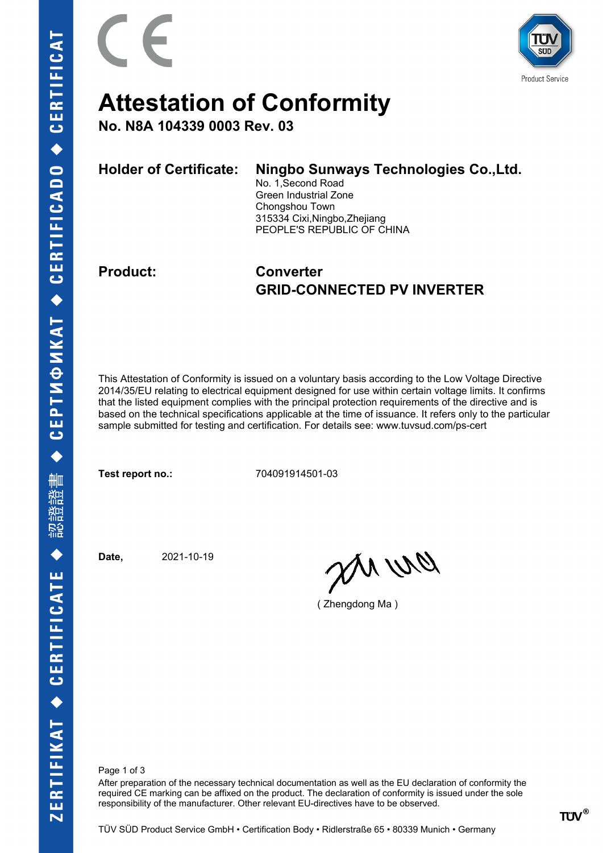

# **Attestation of Conformity**

**No. N8A 104339 0003 Rev. 03**

| <b>Holder of Certificate:</b> | Ningbo Sunways Technologies Co., Ltd.<br>No. 1, Second Road<br>Green Industrial Zone<br>Chongshou Town |
|-------------------------------|--------------------------------------------------------------------------------------------------------|
|                               | 315334 Cixi, Ningbo, Zhejiang<br>PEOPLE'S REPUBLIC OF CHINA                                            |

### **Product: Converter GRID-CONNECTED PV INVERTER**

This Attestation of Conformity is issued on a voluntary basis according to the Low Voltage Directive 2014/35/EU relating to electrical equipment designed for use within certain voltage limits. It confirms that the listed equipment complies with the principal protection requirements of the directive and is based on the technical specifications applicable at the time of issuance. It refers only to the particular sample submitted for testing and certification. For details see: www.tuvsud.com/ps-cert

**Test report no.:** 704091914501-03

**Date,** 2021-10-19

an wa

( Zhengdong Ma )

Page 1 of 3

After preparation of the necessary technical documentation as well as the EU declaration of conformity the required CE marking can be affixed on the product. The declaration of conformity is issued under the sole responsibility of the manufacturer. Other relevant EU-directives have to be observed.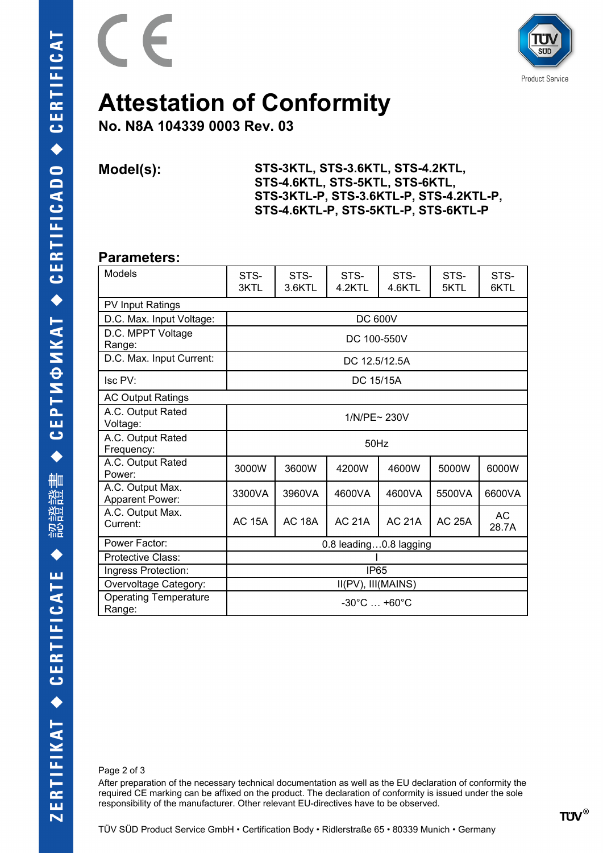



## **Attestation of Conformity**

**No. N8A 104339 0003 Rev. 03**

**Model(s): STS-3KTL, STS-3.6KTL, STS-4.2KTL, STS-4.6KTL, STS-5KTL, STS-6KTL, STS-3KTL-P, STS-3.6KTL-P, STS-4.2KTL-P, STS-4.6KTL-P, STS-5KTL-P, STS-6KTL-P**

#### **Parameters:**

| <b>Models</b>                          | STS-                            | STS-          | STS-<br>STS-<br>STS- |               |               |              |  |  |  |  |
|----------------------------------------|---------------------------------|---------------|----------------------|---------------|---------------|--------------|--|--|--|--|
|                                        | 3KTL                            | 3.6KTL        | 4.2KTL               | 4.6KTL        | 5KTL          | STS-<br>6KTL |  |  |  |  |
| <b>PV Input Ratings</b>                |                                 |               |                      |               |               |              |  |  |  |  |
| D.C. Max. Input Voltage:               | <b>DC 600V</b>                  |               |                      |               |               |              |  |  |  |  |
| D.C. MPPT Voltage<br>Range:            | DC 100-550V                     |               |                      |               |               |              |  |  |  |  |
| D.C. Max. Input Current:               | DC 12.5/12.5A                   |               |                      |               |               |              |  |  |  |  |
| Isc PV:                                | DC 15/15A                       |               |                      |               |               |              |  |  |  |  |
| <b>AC Output Ratings</b>               |                                 |               |                      |               |               |              |  |  |  |  |
| A.C. Output Rated<br>Voltage:          | 1/N/PE~ 230V                    |               |                      |               |               |              |  |  |  |  |
| A.C. Output Rated<br>Frequency:        | 50Hz                            |               |                      |               |               |              |  |  |  |  |
| A.C. Output Rated<br>Power:            | 3000W                           | 3600W         | 4200W                | 4600W         | 5000W         | 6000W        |  |  |  |  |
| A.C. Output Max.<br>Apparent Power:    | 3300VA                          | 3960VA        | 4600VA               | 4600VA        | 5500VA        | 6600VA       |  |  |  |  |
| A.C. Output Max.<br>Current:           | <b>AC 15A</b>                   | <b>AC 18A</b> | <b>AC 21A</b>        | <b>AC 21A</b> | <b>AC 25A</b> | AC<br>28.7A  |  |  |  |  |
| Power Factor:                          | 0.8 leading0.8 lagging          |               |                      |               |               |              |  |  |  |  |
| Protective Class:                      |                                 |               |                      |               |               |              |  |  |  |  |
| Ingress Protection:                    | <b>IP65</b>                     |               |                      |               |               |              |  |  |  |  |
| Overvoltage Category:                  | II(PV), III(MAINS)              |               |                      |               |               |              |  |  |  |  |
| <b>Operating Temperature</b><br>Range: | $-30^{\circ}$ C $+60^{\circ}$ C |               |                      |               |               |              |  |  |  |  |

Page 2 of 3

After preparation of the necessary technical documentation as well as the EU declaration of conformity the required CE marking can be affixed on the product. The declaration of conformity is issued under the sole responsibility of the manufacturer. Other relevant EU-directives have to be observed.